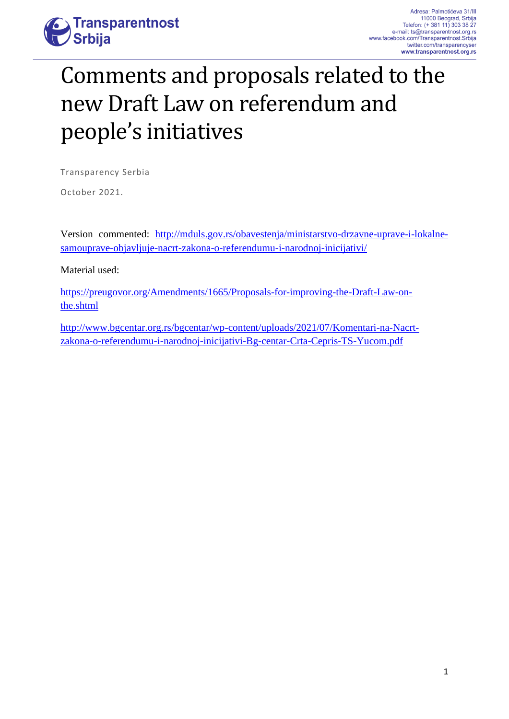

# Comments and proposals related to the new Draft Law on referendum and people's initiatives

Transparency Serbia

October 2021.

Version commented: [http://mduls.gov.rs/obavestenja/ministarstvo-drzavne-uprave-i-lokalne](http://mduls.gov.rs/obavestenja/ministarstvo-drzavne-uprave-i-lokalne-samouprave-objavljuje-nacrt-zakona-o-referendumu-i-narodnoj-inicijativi/)[samouprave-objavljuje-nacrt-zakona-o-referendumu-i-narodnoj-inicijativi/](http://mduls.gov.rs/obavestenja/ministarstvo-drzavne-uprave-i-lokalne-samouprave-objavljuje-nacrt-zakona-o-referendumu-i-narodnoj-inicijativi/)

Material used:

[https://preugovor.org/Amendments/1665/Proposals-for-improving-the-Draft-Law-on](https://preugovor.org/Amendments/1665/Proposals-for-improving-the-Draft-Law-on-the.shtml)[the.shtml](https://preugovor.org/Amendments/1665/Proposals-for-improving-the-Draft-Law-on-the.shtml)

[http://www.bgcentar.org.rs/bgcentar/wp-content/uploads/2021/07/Komentari-na-Nacrt](http://www.bgcentar.org.rs/bgcentar/wp-content/uploads/2021/07/Komentari-na-Nacrt-zakona-o-referendumu-i-narodnoj-inicijativi-Bg-centar-Crta-Cepris-TS-Yucom.pdf)[zakona-o-referendumu-i-narodnoj-inicijativi-Bg-centar-Crta-Cepris-TS-Yucom.pdf](http://www.bgcentar.org.rs/bgcentar/wp-content/uploads/2021/07/Komentari-na-Nacrt-zakona-o-referendumu-i-narodnoj-inicijativi-Bg-centar-Crta-Cepris-TS-Yucom.pdf)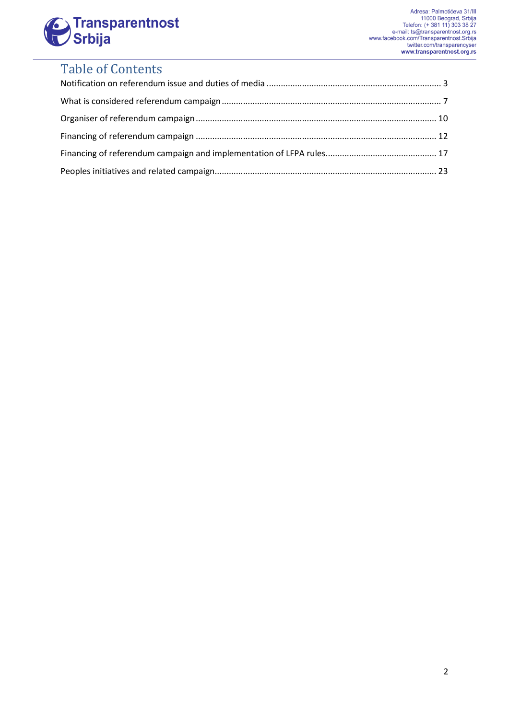

# Table of Contents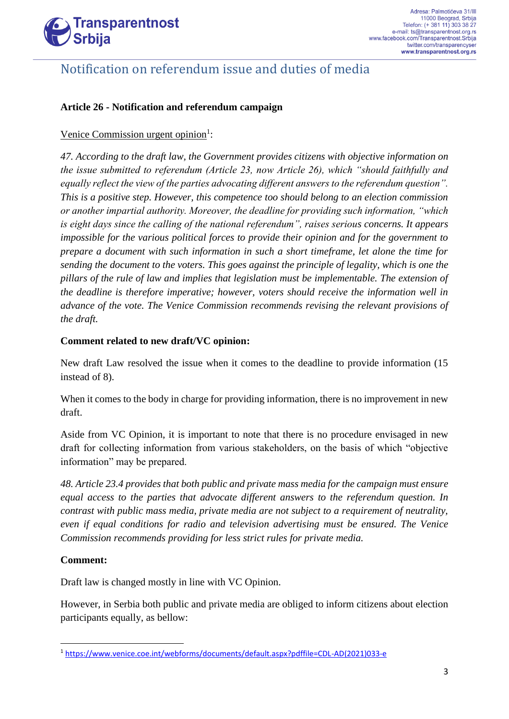

### Notification on referendum issue and duties of media

#### **Article 26 - Notification and referendum campaign**

#### Venice Commission urgent opinion<sup>1</sup>:

*47. According to the draft law, the Government provides citizens with objective information on the issue submitted to referendum (Article 23, now Article 26), which "should faithfully and equally reflect the view of the parties advocating different answers to the referendum question". This is a positive step. However, this competence too should belong to an election commission or another impartial authority. Moreover, the deadline for providing such information, "which is eight days since the calling of the national referendum", raises serious concerns. It appears impossible for the various political forces to provide their opinion and for the government to prepare a document with such information in such a short timeframe, let alone the time for sending the document to the voters. This goes against the principle of legality, which is one the pillars of the rule of law and implies that legislation must be implementable. The extension of the deadline is therefore imperative; however, voters should receive the information well in advance of the vote. The Venice Commission recommends revising the relevant provisions of the draft.*

#### **Comment related to new draft/VC opinion:**

New draft Law resolved the issue when it comes to the deadline to provide information (15 instead of 8).

When it comes to the body in charge for providing information, there is no improvement in new draft.

Aside from VC Opinion, it is important to note that there is no procedure envisaged in new draft for collecting information from various stakeholders, on the basis of which "objective information" may be prepared.

*48. Article 23.4 provides that both public and private mass media for the campaign must ensure equal access to the parties that advocate different answers to the referendum question. In contrast with public mass media, private media are not subject to a requirement of neutrality, even if equal conditions for radio and television advertising must be ensured. The Venice Commission recommends providing for less strict rules for private media.* 

#### **Comment:**

Draft law is changed mostly in line with VC Opinion.

However, in Serbia both public and private media are obliged to inform citizens about election participants equally, as bellow:

<sup>1</sup> [https://www.venice.coe.int/webforms/documents/default.aspx?pdffile=CDL-AD\(2021\)033-e](https://www.venice.coe.int/webforms/documents/default.aspx?pdffile=CDL-AD(2021)033-e)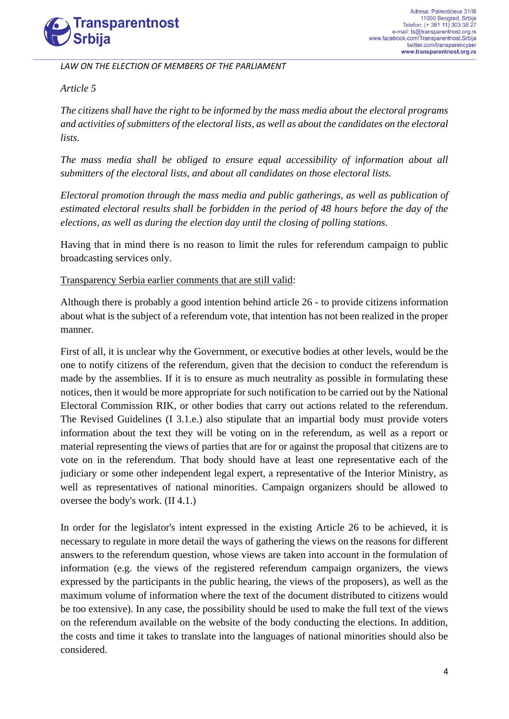

*LAW ON THE ELECTION OF MEMBERS OF THE PARLIAMENT*

*Article 5* 

*The citizens shall have the right to be informed by the mass media about the electoral programs and activities of submitters of the electoral lists, as well as about the candidates on the electoral lists.* 

*The mass media shall be obliged to ensure equal accessibility of information about all submitters of the electoral lists, and about all candidates on those electoral lists.* 

*Electoral promotion through the mass media and public gatherings, as well as publication of estimated electoral results shall be forbidden in the period of 48 hours before the day of the elections, as well as during the election day until the closing of polling stations.*

Having that in mind there is no reason to limit the rules for referendum campaign to public broadcasting services only.

Transparency Serbia earlier comments that are still valid:

Although there is probably a good intention behind article 26 - to provide citizens information about what is the subject of a referendum vote, that intention has not been realized in the proper manner.

First of all, it is unclear why the Government, or executive bodies at other levels, would be the one to notify citizens of the referendum, given that the decision to conduct the referendum is made by the assemblies. If it is to ensure as much neutrality as possible in formulating these notices, then it would be more appropriate for such notification to be carried out by the National Electoral Commission RIK, or other bodies that carry out actions related to the referendum. The Revised Guidelines (I 3.1.e.) also stipulate that an impartial body must provide voters information about the text they will be voting on in the referendum, as well as a report or material representing the views of parties that are for or against the proposal that citizens are to vote on in the referendum. That body should have at least one representative each of the judiciary or some other independent legal expert, a representative of the Interior Ministry, as well as representatives of national minorities. Campaign organizers should be allowed to oversee the body's work. (II 4.1.)

In order for the legislator's intent expressed in the existing Article 26 to be achieved, it is necessary to regulate in more detail the ways of gathering the views on the reasons for different answers to the referendum question, whose views are taken into account in the formulation of information (e.g. the views of the registered referendum campaign organizers, the views expressed by the participants in the public hearing, the views of the proposers), as well as the maximum volume of information where the text of the document distributed to citizens would be too extensive). In any case, the possibility should be used to make the full text of the views on the referendum available on the website of the body conducting the elections. In addition, the costs and time it takes to translate into the languages of national minorities should also be considered.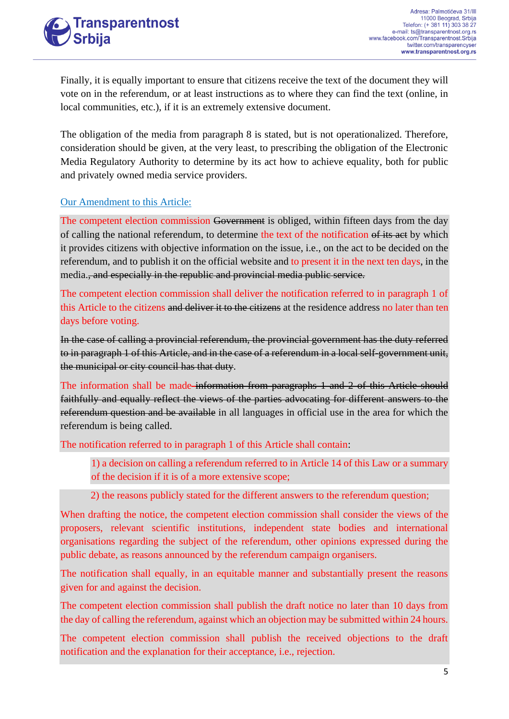## **Transparentnost** Srbiia

Finally, it is equally important to ensure that citizens receive the text of the document they will vote on in the referendum, or at least instructions as to where they can find the text (online, in local communities, etc.), if it is an extremely extensive document.

The obligation of the media from paragraph 8 is stated, but is not operationalized. Therefore, consideration should be given, at the very least, to prescribing the obligation of the Electronic Media Regulatory Authority to determine by its act how to achieve equality, both for public and privately owned media service providers.

#### Our Amendment to this Article:

The competent election commission Government is obliged, within fifteen days from the day of calling the national referendum, to determine the text of the notification of its act by which it provides citizens with objective information on the issue, i.e., on the act to be decided on the referendum, and to publish it on the official website and to present it in the next ten days, in the media., and especially in the republic and provincial media public service.

The competent election commission shall deliver the notification referred to in paragraph 1 of this Article to the citizens and deliver it to the citizens at the residence address no later than ten days before voting.

In the case of calling a provincial referendum, the provincial government has the duty referred to in paragraph 1 of this Article, and in the case of a referendum in a local self-government unit, the municipal or city council has that duty.

The information shall be made information from paragraphs 1 and 2 of this Article should faithfully and equally reflect the views of the parties advocating for different answers to the referendum question and be available in all languages in official use in the area for which the referendum is being called.

The notification referred to in paragraph 1 of this Article shall contain:

1) a decision on calling a referendum referred to in Article 14 of this Law or a summary of the decision if it is of a more extensive scope;

2) the reasons publicly stated for the different answers to the referendum question;

When drafting the notice, the competent election commission shall consider the views of the proposers, relevant scientific institutions, independent state bodies and international organisations regarding the subject of the referendum, other opinions expressed during the public debate, as reasons announced by the referendum campaign organisers.

The notification shall equally, in an equitable manner and substantially present the reasons given for and against the decision.

The competent election commission shall publish the draft notice no later than 10 days from the day of calling the referendum, against which an objection may be submitted within 24 hours.

The competent election commission shall publish the received objections to the draft notification and the explanation for their acceptance, i.e., rejection.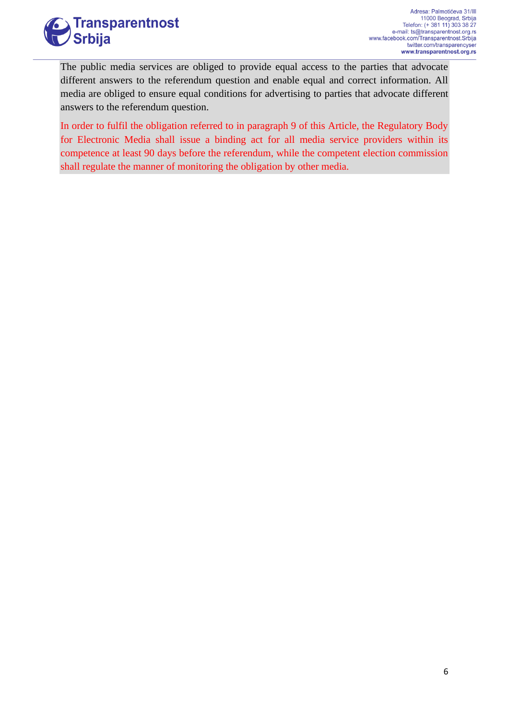

The public media services are obliged to provide equal access to the parties that advocate different answers to the referendum question and enable equal and correct information. All media are obliged to ensure equal conditions for advertising to parties that advocate different answers to the referendum question.

In order to fulfil the obligation referred to in paragraph 9 of this Article, the Regulatory Body for Electronic Media shall issue a binding act for all media service providers within its competence at least 90 days before the referendum, while the competent election commission shall regulate the manner of monitoring the obligation by other media.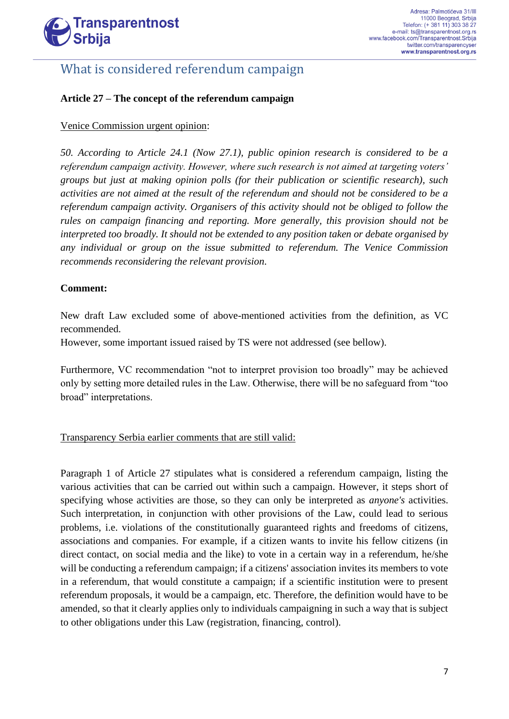

### What is considered referendum campaign

#### **Article 27 – The concept of the referendum campaign**

#### Venice Commission urgent opinion:

*50. According to Article 24.1 (Now 27.1), public opinion research is considered to be a referendum campaign activity. However, where such research is not aimed at targeting voters' groups but just at making opinion polls (for their publication or scientific research), such activities are not aimed at the result of the referendum and should not be considered to be a referendum campaign activity. Organisers of this activity should not be obliged to follow the rules on campaign financing and reporting. More generally, this provision should not be interpreted too broadly. It should not be extended to any position taken or debate organised by any individual or group on the issue submitted to referendum. The Venice Commission recommends reconsidering the relevant provision.*

#### **Comment:**

New draft Law excluded some of above-mentioned activities from the definition, as VC recommended.

However, some important issued raised by TS were not addressed (see bellow).

Furthermore, VC recommendation "not to interpret provision too broadly" may be achieved only by setting more detailed rules in the Law. Otherwise, there will be no safeguard from "too broad" interpretations.

#### Transparency Serbia earlier comments that are still valid:

Paragraph 1 of Article 27 stipulates what is considered a referendum campaign, listing the various activities that can be carried out within such a campaign. However, it steps short of specifying whose activities are those, so they can only be interpreted as *anyone's* activities. Such interpretation, in conjunction with other provisions of the Law, could lead to serious problems, i.e. violations of the constitutionally guaranteed rights and freedoms of citizens, associations and companies. For example, if a citizen wants to invite his fellow citizens (in direct contact, on social media and the like) to vote in a certain way in a referendum, he/she will be conducting a referendum campaign; if a citizens' association invites its members to vote in a referendum, that would constitute a campaign; if a scientific institution were to present referendum proposals, it would be a campaign, etc. Therefore, the definition would have to be amended, so that it clearly applies only to individuals campaigning in such a way that is subject to other obligations under this Law (registration, financing, control).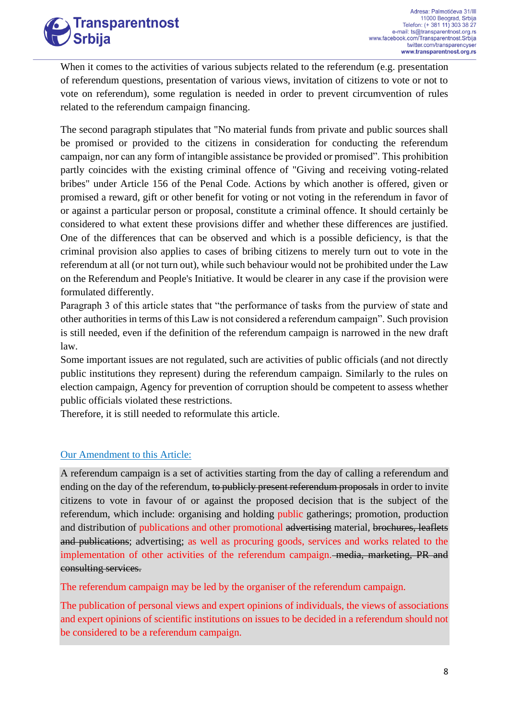When it comes to the activities of various subjects related to the referendum (e.g. presentation of referendum questions, presentation of various views, invitation of citizens to vote or not to vote on referendum), some regulation is needed in order to prevent circumvention of rules related to the referendum campaign financing.

The second paragraph stipulates that "No material funds from private and public sources shall be promised or provided to the citizens in consideration for conducting the referendum campaign, nor can any form of intangible assistance be provided or promised". This prohibition partly coincides with the existing criminal offence of "Giving and receiving voting-related bribes" under Article 156 of the Penal Code. Actions by which another is offered, given or promised a reward, gift or other benefit for voting or not voting in the referendum in favor of or against a particular person or proposal, constitute a criminal offence. It should certainly be considered to what extent these provisions differ and whether these differences are justified. One of the differences that can be observed and which is a possible deficiency, is that the criminal provision also applies to cases of bribing citizens to merely turn out to vote in the referendum at all (or not turn out), while such behaviour would not be prohibited under the Law on the Referendum and People's Initiative. It would be clearer in any case if the provision were formulated differently.

Paragraph 3 of this article states that "the performance of tasks from the purview of state and other authorities in terms of this Law is not considered a referendum campaign". Such provision is still needed, even if the definition of the referendum campaign is narrowed in the new draft law.

Some important issues are not regulated, such are activities of public officials (and not directly public institutions they represent) during the referendum campaign. Similarly to the rules on election campaign, Agency for prevention of corruption should be competent to assess whether public officials violated these restrictions.

Therefore, it is still needed to reformulate this article.

#### Our Amendment to this Article:

A referendum campaign is a set of activities starting from the day of calling a referendum and ending on the day of the referendum, to publicly present referendum proposals in order to invite citizens to vote in favour of or against the proposed decision that is the subject of the referendum, which include: organising and holding public gatherings; promotion, production and distribution of publications and other promotional advertising material, brochures, leaflets and publications; advertising; as well as procuring goods, services and works related to the implementation of other activities of the referendum campaign. media, marketing, PR and consulting services.

The referendum campaign may be led by the organiser of the referendum campaign.

The publication of personal views and expert opinions of individuals, the views of associations and expert opinions of scientific institutions on issues to be decided in a referendum should not be considered to be a referendum campaign.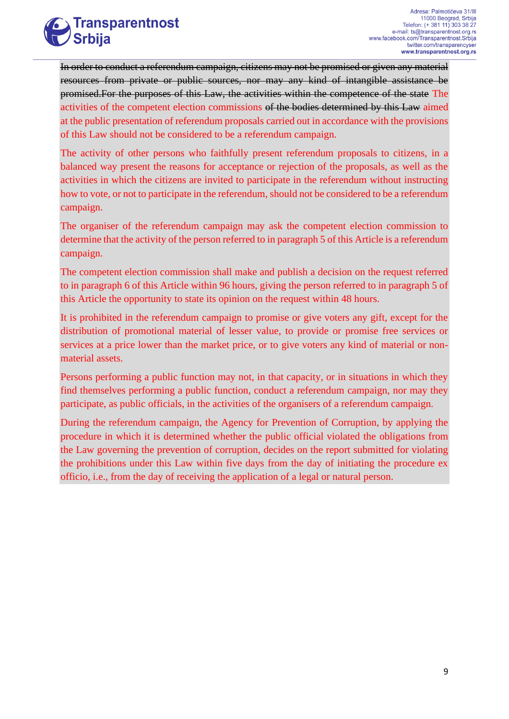

In order to conduct a referendum campaign, citizens may not be promised or given any material resources from private or public sources, nor may any kind of intangible assistance be promised.For the purposes of this Law, the activities within the competence of the state The activities of the competent election commissions of the bodies determined by this Law aimed at the public presentation of referendum proposals carried out in accordance with the provisions of this Law should not be considered to be a referendum campaign.

The activity of other persons who faithfully present referendum proposals to citizens, in a balanced way present the reasons for acceptance or rejection of the proposals, as well as the activities in which the citizens are invited to participate in the referendum without instructing how to vote, or not to participate in the referendum, should not be considered to be a referendum campaign.

The organiser of the referendum campaign may ask the competent election commission to determine that the activity of the person referred to in paragraph 5 of this Article is a referendum campaign.

The competent election commission shall make and publish a decision on the request referred to in paragraph 6 of this Article within 96 hours, giving the person referred to in paragraph 5 of this Article the opportunity to state its opinion on the request within 48 hours.

It is prohibited in the referendum campaign to promise or give voters any gift, except for the distribution of promotional material of lesser value, to provide or promise free services or services at a price lower than the market price, or to give voters any kind of material or nonmaterial assets.

Persons performing a public function may not, in that capacity, or in situations in which they find themselves performing a public function, conduct a referendum campaign, nor may they participate, as public officials, in the activities of the organisers of a referendum campaign.

During the referendum campaign, the Agency for Prevention of Corruption, by applying the procedure in which it is determined whether the public official violated the obligations from the Law governing the prevention of corruption, decides on the report submitted for violating the prohibitions under this Law within five days from the day of initiating the procedure ex officio, i.e., from the day of receiving the application of a legal or natural person.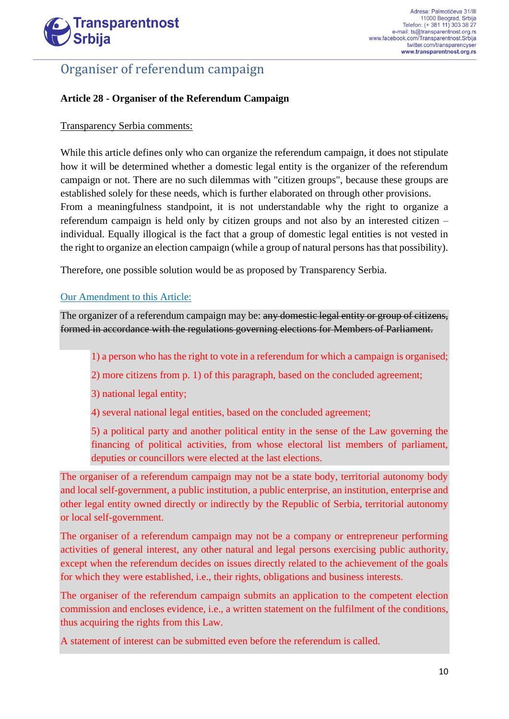

### Organiser of referendum campaign

#### **Article 28 - Organiser of the Referendum Campaign**

#### Transparency Serbia comments:

While this article defines only who can organize the referendum campaign, it does not stipulate how it will be determined whether a domestic legal entity is the organizer of the referendum campaign or not. There are no such dilemmas with "citizen groups", because these groups are established solely for these needs, which is further elaborated on through other provisions. From a meaningfulness standpoint, it is not understandable why the right to organize a referendum campaign is held only by citizen groups and not also by an interested citizen – individual. Equally illogical is the fact that a group of domestic legal entities is not vested in the right to organize an election campaign (while a group of natural persons has that possibility).

Therefore, one possible solution would be as proposed by Transparency Serbia.

#### Our Amendment to this Article:

The organizer of a referendum campaign may be: any domestic legal entity or group of citizens, formed in accordance with the regulations governing elections for Members of Parliament.

1) a person who has the right to vote in a referendum for which a campaign is organised;

2) more citizens from p. 1) of this paragraph, based on the concluded agreement;

3) national legal entity;

4) several national legal entities, based on the concluded agreement;

5) a political party and another political entity in the sense of the Law governing the financing of political activities, from whose electoral list members of parliament, deputies or councillors were elected at the last elections.

The organiser of a referendum campaign may not be a state body, territorial autonomy body and local self-government, a public institution, a public enterprise, an institution, enterprise and other legal entity owned directly or indirectly by the Republic of Serbia, territorial autonomy or local self-government.

The organiser of a referendum campaign may not be a company or entrepreneur performing activities of general interest, any other natural and legal persons exercising public authority, except when the referendum decides on issues directly related to the achievement of the goals for which they were established, i.e., their rights, obligations and business interests.

The organiser of the referendum campaign submits an application to the competent election commission and encloses evidence, i.e., a written statement on the fulfilment of the conditions, thus acquiring the rights from this Law.

A statement of interest can be submitted even before the referendum is called.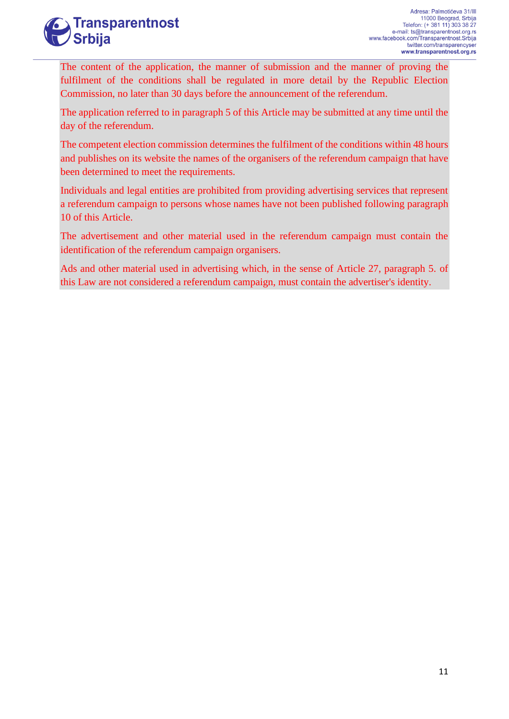# **Transparentnost Srbija**

The content of the application, the manner of submission and the manner of proving the fulfilment of the conditions shall be regulated in more detail by the Republic Election Commission, no later than 30 days before the announcement of the referendum.

The application referred to in paragraph 5 of this Article may be submitted at any time until the day of the referendum.

The competent election commission determines the fulfilment of the conditions within 48 hours and publishes on its website the names of the organisers of the referendum campaign that have been determined to meet the requirements.

Individuals and legal entities are prohibited from providing advertising services that represent a referendum campaign to persons whose names have not been published following paragraph 10 of this Article.

The advertisement and other material used in the referendum campaign must contain the identification of the referendum campaign organisers.

Ads and other material used in advertising which, in the sense of Article 27, paragraph 5. of this Law are not considered a referendum campaign, must contain the advertiser's identity.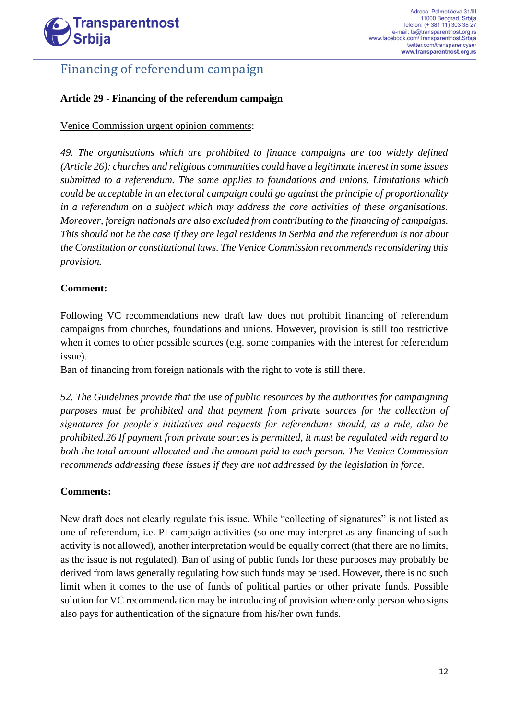

### Financing of referendum campaign

#### **Article 29 - Financing of the referendum campaign**

#### Venice Commission urgent opinion comments:

*49. The organisations which are prohibited to finance campaigns are too widely defined (Article 26): churches and religious communities could have a legitimate interest in some issues submitted to a referendum. The same applies to foundations and unions. Limitations which could be acceptable in an electoral campaign could go against the principle of proportionality in a referendum on a subject which may address the core activities of these organisations. Moreover, foreign nationals are also excluded from contributing to the financing of campaigns. This should not be the case if they are legal residents in Serbia and the referendum is not about the Constitution or constitutional laws. The Venice Commission recommends reconsidering this provision.*

#### **Comment:**

Following VC recommendations new draft law does not prohibit financing of referendum campaigns from churches, foundations and unions. However, provision is still too restrictive when it comes to other possible sources (e.g. some companies with the interest for referendum issue).

Ban of financing from foreign nationals with the right to vote is still there.

*52. The Guidelines provide that the use of public resources by the authorities for campaigning purposes must be prohibited and that payment from private sources for the collection of signatures for people's initiatives and requests for referendums should, as a rule, also be prohibited.26 If payment from private sources is permitted, it must be regulated with regard to both the total amount allocated and the amount paid to each person. The Venice Commission recommends addressing these issues if they are not addressed by the legislation in force.*

#### **Comments:**

New draft does not clearly regulate this issue. While "collecting of signatures" is not listed as one of referendum, i.e. PI campaign activities (so one may interpret as any financing of such activity is not allowed), another interpretation would be equally correct (that there are no limits, as the issue is not regulated). Ban of using of public funds for these purposes may probably be derived from laws generally regulating how such funds may be used. However, there is no such limit when it comes to the use of funds of political parties or other private funds. Possible solution for VC recommendation may be introducing of provision where only person who signs also pays for authentication of the signature from his/her own funds.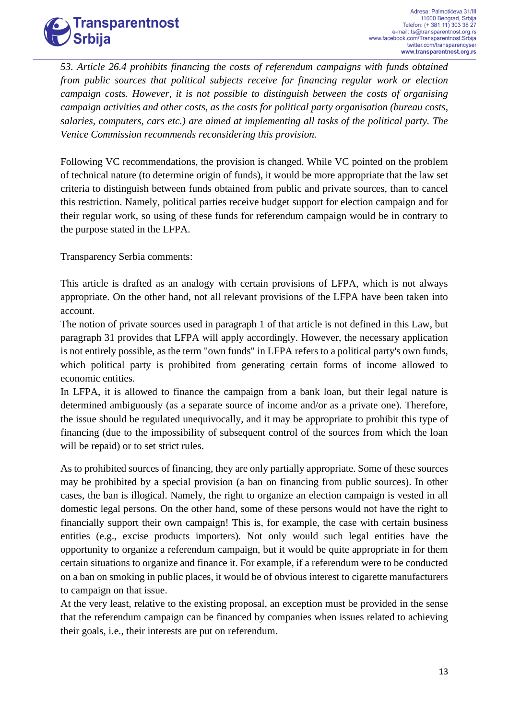# **Transparentnost Srbija**

*53. Article 26.4 prohibits financing the costs of referendum campaigns with funds obtained from public sources that political subjects receive for financing regular work or election campaign costs. However, it is not possible to distinguish between the costs of organising campaign activities and other costs, as the costs for political party organisation (bureau costs, salaries, computers, cars etc.) are aimed at implementing all tasks of the political party. The Venice Commission recommends reconsidering this provision.*

Following VC recommendations, the provision is changed. While VC pointed on the problem of technical nature (to determine origin of funds), it would be more appropriate that the law set criteria to distinguish between funds obtained from public and private sources, than to cancel this restriction. Namely, political parties receive budget support for election campaign and for their regular work, so using of these funds for referendum campaign would be in contrary to the purpose stated in the LFPA.

#### Transparency Serbia comments:

This article is drafted as an analogy with certain provisions of LFPA, which is not always appropriate. On the other hand, not all relevant provisions of the LFPA have been taken into account.

The notion of private sources used in paragraph 1 of that article is not defined in this Law, but paragraph 31 provides that LFPA will apply accordingly. However, the necessary application is not entirely possible, as the term "own funds" in LFPA refers to a political party's own funds, which political party is prohibited from generating certain forms of income allowed to economic entities.

In LFPA, it is allowed to finance the campaign from a bank loan, but their legal nature is determined ambiguously (as a separate source of income and/or as a private one). Therefore, the issue should be regulated unequivocally, and it may be appropriate to prohibit this type of financing (due to the impossibility of subsequent control of the sources from which the loan will be repaid) or to set strict rules.

As to prohibited sources of financing, they are only partially appropriate. Some of these sources may be prohibited by a special provision (a ban on financing from public sources). In other cases, the ban is illogical. Namely, the right to organize an election campaign is vested in all domestic legal persons. On the other hand, some of these persons would not have the right to financially support their own campaign! This is, for example, the case with certain business entities (e.g., excise products importers). Not only would such legal entities have the opportunity to organize a referendum campaign, but it would be quite appropriate in for them certain situations to organize and finance it. For example, if a referendum were to be conducted on a ban on smoking in public places, it would be of obvious interest to cigarette manufacturers to campaign on that issue.

At the very least, relative to the existing proposal, an exception must be provided in the sense that the referendum campaign can be financed by companies when issues related to achieving their goals, i.e., their interests are put on referendum.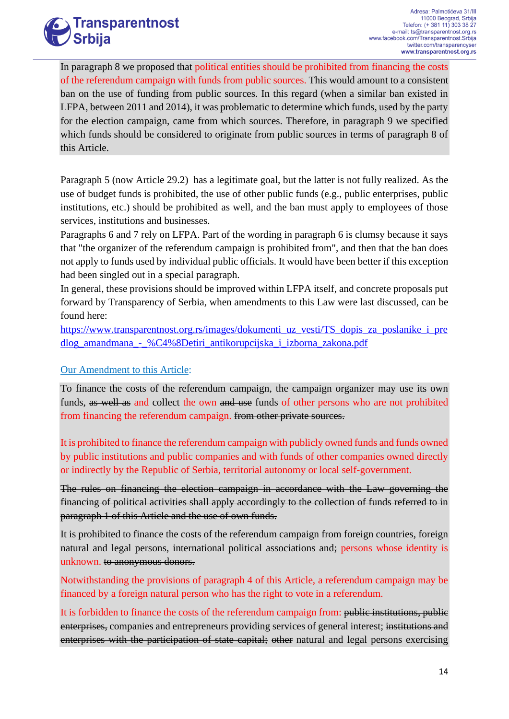

In paragraph 8 we proposed that political entities should be prohibited from financing the costs of the referendum campaign with funds from public sources. This would amount to a consistent ban on the use of funding from public sources. In this regard (when a similar ban existed in LFPA, between 2011 and 2014), it was problematic to determine which funds, used by the party for the election campaign, came from which sources. Therefore, in paragraph 9 we specified which funds should be considered to originate from public sources in terms of paragraph 8 of this Article.

Paragraph 5 (now Article 29.2) has a legitimate goal, but the latter is not fully realized. As the use of budget funds is prohibited, the use of other public funds (e.g., public enterprises, public institutions, etc.) should be prohibited as well, and the ban must apply to employees of those services, institutions and businesses.

Paragraphs 6 and 7 rely on LFPA. Part of the wording in paragraph 6 is clumsy because it says that "the organizer of the referendum campaign is prohibited from", and then that the ban does not apply to funds used by individual public officials. It would have been better if this exception had been singled out in a special paragraph.

In general, these provisions should be improved within LFPA itself, and concrete proposals put forward by Transparency of Serbia, when amendments to this Law were last discussed, can be found here:

[https://www.transparentnost.org.rs/images/dokumenti\\_uz\\_vesti/TS\\_dopis\\_za\\_poslanike\\_i\\_pre](https://www.transparentnost.org.rs/images/dokumenti_uz_vesti/TS_dopis_za_poslanike_i_predlog_amandmana_-_%C4%8Detiri_antikorupcijska_i_izborna_zakona.pdf) [dlog\\_amandmana\\_-\\_%C4%8Detiri\\_antikorupcijska\\_i\\_izborna\\_zakona.pdf](https://www.transparentnost.org.rs/images/dokumenti_uz_vesti/TS_dopis_za_poslanike_i_predlog_amandmana_-_%C4%8Detiri_antikorupcijska_i_izborna_zakona.pdf)

#### Our Amendment to this Article:

To finance the costs of the referendum campaign, the campaign organizer may use its own funds, as well as and collect the own and use funds of other persons who are not prohibited from financing the referendum campaign. from other private sources.

It is prohibited to finance the referendum campaign with publicly owned funds and funds owned by public institutions and public companies and with funds of other companies owned directly or indirectly by the Republic of Serbia, territorial autonomy or local self-government.

The rules on financing the election campaign in accordance with the Law governing the financing of political activities shall apply accordingly to the collection of funds referred to in paragraph 1 of this Article and the use of own funds.

It is prohibited to finance the costs of the referendum campaign from foreign countries, foreign natural and legal persons, international political associations and; persons whose identity is unknown. to anonymous donors.

Notwithstanding the provisions of paragraph 4 of this Article, a referendum campaign may be financed by a foreign natural person who has the right to vote in a referendum.

It is forbidden to finance the costs of the referendum campaign from: public institutions, public enterprises, companies and entrepreneurs providing services of general interest; institutions and enterprises with the participation of state capital; other natural and legal persons exercising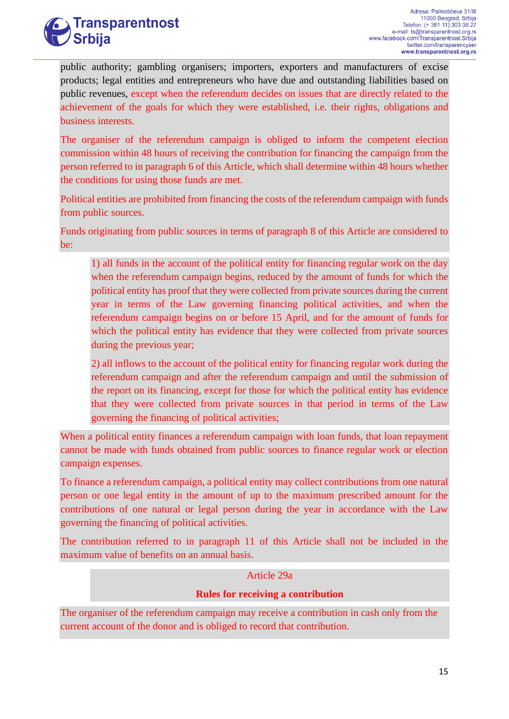# **Transparentnost Srbija**

public authority; gambling organisers; importers, exporters and manufacturers of excise products; legal entities and entrepreneurs who have due and outstanding liabilities based on public revenues, except when the referendum decides on issues that are directly related to the achievement of the goals for which they were established, i.e. their rights, obligations and business interests.

The organiser of the referendum campaign is obliged to inform the competent election commission within 48 hours of receiving the contribution for financing the campaign from the person referred to in paragraph 6 of this Article, which shall determine within 48 hours whether the conditions for using those funds are met.

Political entities are prohibited from financing the costs of the referendum campaign with funds from public sources.

Funds originating from public sources in terms of paragraph 8 of this Article are considered to be:

1) all funds in the account of the political entity for financing regular work on the day when the referendum campaign begins, reduced by the amount of funds for which the political entity has proof that they were collected from private sources during the current year in terms of the Law governing financing political activities, and when the referendum campaign begins on or before 15 April, and for the amount of funds for which the political entity has evidence that they were collected from private sources during the previous year;

2) all inflows to the account of the political entity for financing regular work during the referendum campaign and after the referendum campaign and until the submission of the report on its financing, except for those for which the political entity has evidence that they were collected from private sources in that period in terms of the Law governing the financing of political activities;

When a political entity finances a referendum campaign with loan funds, that loan repayment cannot be made with funds obtained from public sources to finance regular work or election campaign expenses.

To finance a referendum campaign, a political entity may collect contributions from one natural person or one legal entity in the amount of up to the maximum prescribed amount for the contributions of one natural or legal person during the year in accordance with the Law governing the financing of political activities.

The contribution referred to in paragraph 11 of this Article shall not be included in the maximum value of benefits on an annual basis.

#### Article 29a

#### **Rules for receiving a contribution**

The organiser of the referendum campaign may receive a contribution in cash only from the current account of the donor and is obliged to record that contribution.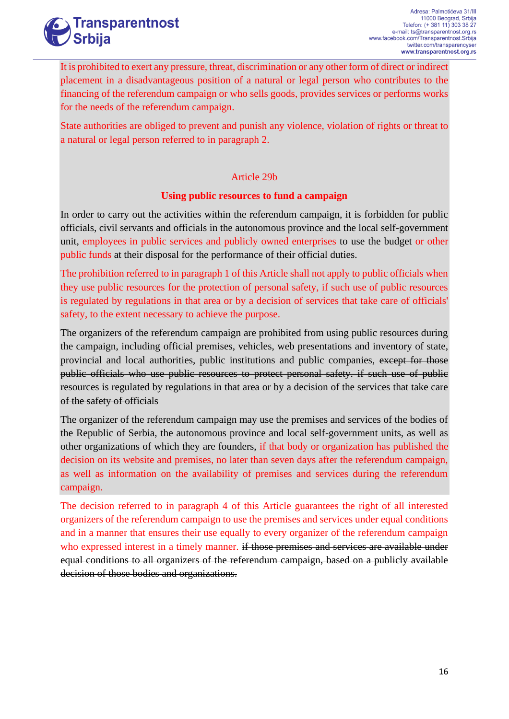

It is prohibited to exert any pressure, threat, discrimination or any other form of direct or indirect placement in a disadvantageous position of a natural or legal person who contributes to the financing of the referendum campaign or who sells goods, provides services or performs works for the needs of the referendum campaign.

State authorities are obliged to prevent and punish any violence, violation of rights or threat to a natural or legal person referred to in paragraph 2.

#### Article 29b

#### **Using public resources to fund a campaign**

In order to carry out the activities within the referendum campaign, it is forbidden for public officials, civil servants and officials in the autonomous province and the local self-government unit, employees in public services and publicly owned enterprises to use the budget or other public funds at their disposal for the performance of their official duties.

The prohibition referred to in paragraph 1 of this Article shall not apply to public officials when they use public resources for the protection of personal safety, if such use of public resources is regulated by regulations in that area or by a decision of services that take care of officials' safety, to the extent necessary to achieve the purpose.

The organizers of the referendum campaign are prohibited from using public resources during the campaign, including official premises, vehicles, web presentations and inventory of state, provincial and local authorities, public institutions and public companies, except for those public officials who use public resources to protect personal safety. if such use of public resources is regulated by regulations in that area or by a decision of the services that take care of the safety of officials

The organizer of the referendum campaign may use the premises and services of the bodies of the Republic of Serbia, the autonomous province and local self-government units, as well as other organizations of which they are founders, if that body or organization has published the decision on its website and premises, no later than seven days after the referendum campaign, as well as information on the availability of premises and services during the referendum campaign.

The decision referred to in paragraph 4 of this Article guarantees the right of all interested organizers of the referendum campaign to use the premises and services under equal conditions and in a manner that ensures their use equally to every organizer of the referendum campaign who expressed interest in a timely manner. if those premises and services are available under equal conditions to all organizers of the referendum campaign, based on a publicly available decision of those bodies and organizations.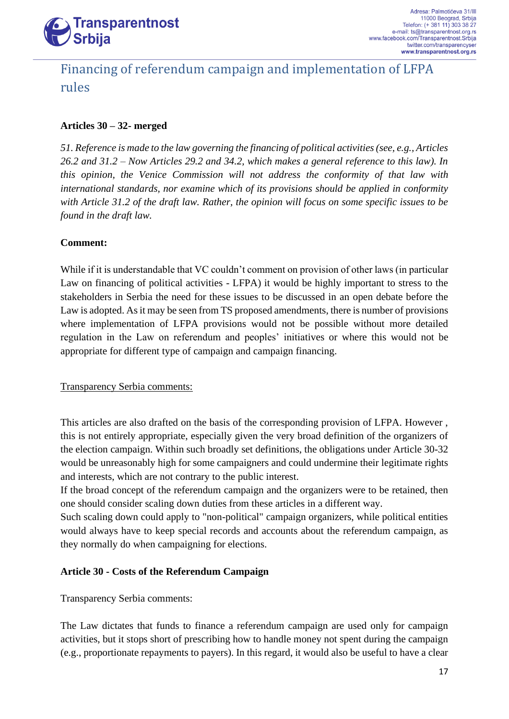

## Financing of referendum campaign and implementation of LFPA rules

#### **Articles 30 – 32- merged**

*51. Reference is made to the law governing the financing of political activities (see, e.g., Articles 26.2 and 31.2 – Now Articles 29.2 and 34.2, which makes a general reference to this law). In this opinion, the Venice Commission will not address the conformity of that law with international standards, nor examine which of its provisions should be applied in conformity with Article 31.2 of the draft law. Rather, the opinion will focus on some specific issues to be found in the draft law.* 

#### **Comment:**

While if it is understandable that VC couldn't comment on provision of other laws (in particular Law on financing of political activities - LFPA) it would be highly important to stress to the stakeholders in Serbia the need for these issues to be discussed in an open debate before the Law is adopted. As it may be seen from TS proposed amendments, there is number of provisions where implementation of LFPA provisions would not be possible without more detailed regulation in the Law on referendum and peoples' initiatives or where this would not be appropriate for different type of campaign and campaign financing.

#### Transparency Serbia comments:

This articles are also drafted on the basis of the corresponding provision of LFPA. However , this is not entirely appropriate, especially given the very broad definition of the organizers of the election campaign. Within such broadly set definitions, the obligations under Article 30-32 would be unreasonably high for some campaigners and could undermine their legitimate rights and interests, which are not contrary to the public interest.

If the broad concept of the referendum campaign and the organizers were to be retained, then one should consider scaling down duties from these articles in a different way.

Such scaling down could apply to "non-political" campaign organizers, while political entities would always have to keep special records and accounts about the referendum campaign, as they normally do when campaigning for elections.

#### **Article 30 - Costs of the Referendum Campaign**

Transparency Serbia comments:

The Law dictates that funds to finance a referendum campaign are used only for campaign activities, but it stops short of prescribing how to handle money not spent during the campaign (e.g., proportionate repayments to payers). In this regard, it would also be useful to have a clear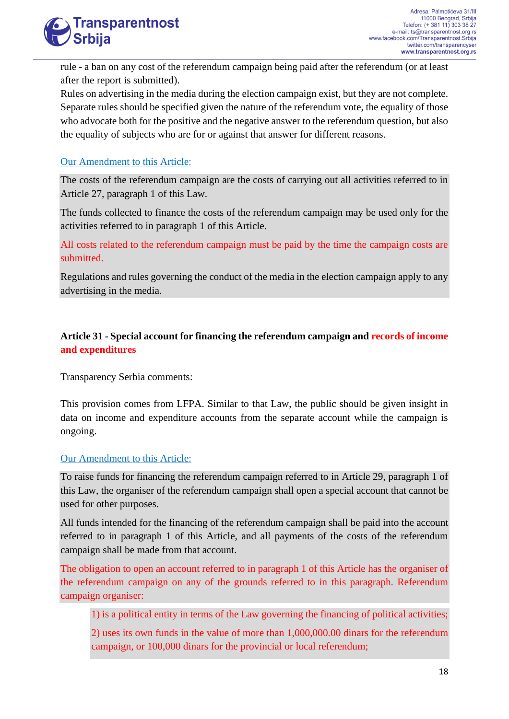

rule - a ban on any cost of the referendum campaign being paid after the referendum (or at least after the report is submitted).

Rules on advertising in the media during the election campaign exist, but they are not complete. Separate rules should be specified given the nature of the referendum vote, the equality of those who advocate both for the positive and the negative answer to the referendum question, but also the equality of subjects who are for or against that answer for different reasons.

#### Our Amendment to this Article:

The costs of the referendum campaign are the costs of carrying out all activities referred to in Article 27, paragraph 1 of this Law.

The funds collected to finance the costs of the referendum campaign may be used only for the activities referred to in paragraph 1 of this Article.

All costs related to the referendum campaign must be paid by the time the campaign costs are submitted.

Regulations and rules governing the conduct of the media in the election campaign apply to any advertising in the media.

#### **Article 31 - Special account for financing the referendum campaign and records of income and expenditures**

Transparency Serbia comments:

This provision comes from LFPA. Similar to that Law, the public should be given insight in data on income and expenditure accounts from the separate account while the campaign is ongoing.

#### Our Amendment to this Article:

To raise funds for financing the referendum campaign referred to in Article 29, paragraph 1 of this Law, the organiser of the referendum campaign shall open a special account that cannot be used for other purposes.

All funds intended for the financing of the referendum campaign shall be paid into the account referred to in paragraph 1 of this Article, and all payments of the costs of the referendum campaign shall be made from that account.

The obligation to open an account referred to in paragraph 1 of this Article has the organiser of the referendum campaign on any of the grounds referred to in this paragraph. Referendum campaign organiser:

1) is a political entity in terms of the Law governing the financing of political activities;

2) uses its own funds in the value of more than 1,000,000.00 dinars for the referendum campaign, or 100,000 dinars for the provincial or local referendum;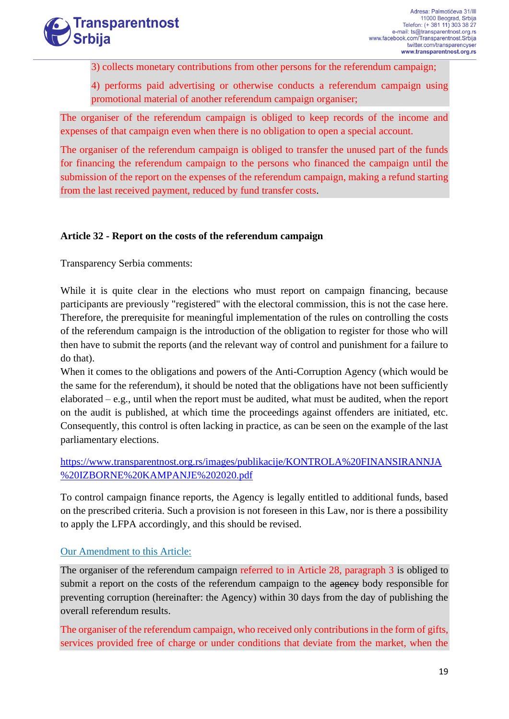

3) collects monetary contributions from other persons for the referendum campaign;

4) performs paid advertising or otherwise conducts a referendum campaign using promotional material of another referendum campaign organiser;

The organiser of the referendum campaign is obliged to keep records of the income and expenses of that campaign even when there is no obligation to open a special account.

The organiser of the referendum campaign is obliged to transfer the unused part of the funds for financing the referendum campaign to the persons who financed the campaign until the submission of the report on the expenses of the referendum campaign, making a refund starting from the last received payment, reduced by fund transfer costs.

#### **Article 32 - Report on the costs of the referendum campaign**

Transparency Serbia comments:

While it is quite clear in the elections who must report on campaign financing, because participants are previously "registered" with the electoral commission, this is not the case here. Therefore, the prerequisite for meaningful implementation of the rules on controlling the costs of the referendum campaign is the introduction of the obligation to register for those who will then have to submit the reports (and the relevant way of control and punishment for a failure to do that).

When it comes to the obligations and powers of the Anti-Corruption Agency (which would be the same for the referendum), it should be noted that the obligations have not been sufficiently elaborated – e.g., until when the report must be audited, what must be audited, when the report on the audit is published, at which time the proceedings against offenders are initiated, etc. Consequently, this control is often lacking in practice, as can be seen on the example of the last parliamentary elections.

[https://www.transparentnost.org.rs/images/publikacije/KONTROLA%20FINANSIRANNJA](https://www.transparentnost.org.rs/images/publikacije/KONTROLA%20FINANSIRANNJA%20IZBORNE%20KAMPANJE%202020.pdf) [%20IZBORNE%20KAMPANJE%202020.pdf](https://www.transparentnost.org.rs/images/publikacije/KONTROLA%20FINANSIRANNJA%20IZBORNE%20KAMPANJE%202020.pdf)

To control campaign finance reports, the Agency is legally entitled to additional funds, based on the prescribed criteria. Such a provision is not foreseen in this Law, nor is there a possibility to apply the LFPA accordingly, and this should be revised.

#### Our Amendment to this Article:

The organiser of the referendum campaign referred to in Article 28, paragraph 3 is obliged to submit a report on the costs of the referendum campaign to the agency body responsible for preventing corruption (hereinafter: the Agency) within 30 days from the day of publishing the overall referendum results.

The organiser of the referendum campaign, who received only contributions in the form of gifts, services provided free of charge or under conditions that deviate from the market, when the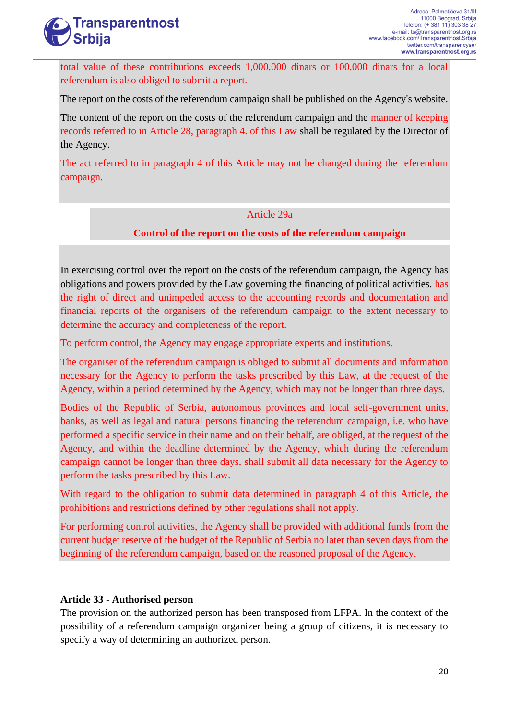

total value of these contributions exceeds 1,000,000 dinars or 100,000 dinars for a local referendum is also obliged to submit a report.

The report on the costs of the referendum campaign shall be published on the Agency's website.

The content of the report on the costs of the referendum campaign and the manner of keeping records referred to in Article 28, paragraph 4. of this Law shall be regulated by the Director of the Agency.

The act referred to in paragraph 4 of this Article may not be changed during the referendum campaign.

#### Article 29a

#### **Control of the report on the costs of the referendum campaign**

In exercising control over the report on the costs of the referendum campaign, the Agency has obligations and powers provided by the Law governing the financing of political activities. has the right of direct and unimpeded access to the accounting records and documentation and financial reports of the organisers of the referendum campaign to the extent necessary to determine the accuracy and completeness of the report.

To perform control, the Agency may engage appropriate experts and institutions.

The organiser of the referendum campaign is obliged to submit all documents and information necessary for the Agency to perform the tasks prescribed by this Law, at the request of the Agency, within a period determined by the Agency, which may not be longer than three days.

Bodies of the Republic of Serbia, autonomous provinces and local self-government units, banks, as well as legal and natural persons financing the referendum campaign, i.e. who have performed a specific service in their name and on their behalf, are obliged, at the request of the Agency, and within the deadline determined by the Agency, which during the referendum campaign cannot be longer than three days, shall submit all data necessary for the Agency to perform the tasks prescribed by this Law.

With regard to the obligation to submit data determined in paragraph 4 of this Article, the prohibitions and restrictions defined by other regulations shall not apply.

For performing control activities, the Agency shall be provided with additional funds from the current budget reserve of the budget of the Republic of Serbia no later than seven days from the beginning of the referendum campaign, based on the reasoned proposal of the Agency.

#### **Article 33 - Authorised person**

The provision on the authorized person has been transposed from LFPA. In the context of the possibility of a referendum campaign organizer being a group of citizens, it is necessary to specify a way of determining an authorized person.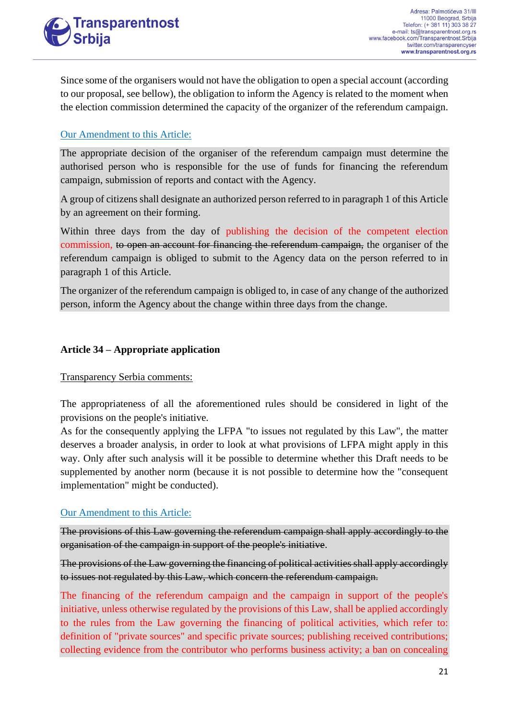Since some of the organisers would not have the obligation to open a special account (according to our proposal, see bellow), the obligation to inform the Agency is related to the moment when the election commission determined the capacity of the organizer of the referendum campaign.

#### Our Amendment to this Article:

The appropriate decision of the organiser of the referendum campaign must determine the authorised person who is responsible for the use of funds for financing the referendum campaign, submission of reports and contact with the Agency.

A group of citizens shall designate an authorized person referred to in paragraph 1 of this Article by an agreement on their forming.

Within three days from the day of publishing the decision of the competent election commission, to open an account for financing the referendum campaign, the organiser of the referendum campaign is obliged to submit to the Agency data on the person referred to in paragraph 1 of this Article.

The organizer of the referendum campaign is obliged to, in case of any change of the authorized person, inform the Agency about the change within three days from the change.

#### **Article 34 – Appropriate application**

#### Transparency Serbia comments:

The appropriateness of all the aforementioned rules should be considered in light of the provisions on the people's initiative.

As for the consequently applying the LFPA "to issues not regulated by this Law", the matter deserves a broader analysis, in order to look at what provisions of LFPA might apply in this way. Only after such analysis will it be possible to determine whether this Draft needs to be supplemented by another norm (because it is not possible to determine how the "consequent implementation" might be conducted).

#### Our Amendment to this Article:

The provisions of this Law governing the referendum campaign shall apply accordingly to the organisation of the campaign in support of the people's initiative.

The provisions of the Law governing the financing of political activities shall apply accordingly to issues not regulated by this Law, which concern the referendum campaign.

The financing of the referendum campaign and the campaign in support of the people's initiative, unless otherwise regulated by the provisions of this Law, shall be applied accordingly to the rules from the Law governing the financing of political activities, which refer to: definition of "private sources" and specific private sources; publishing received contributions; collecting evidence from the contributor who performs business activity; a ban on concealing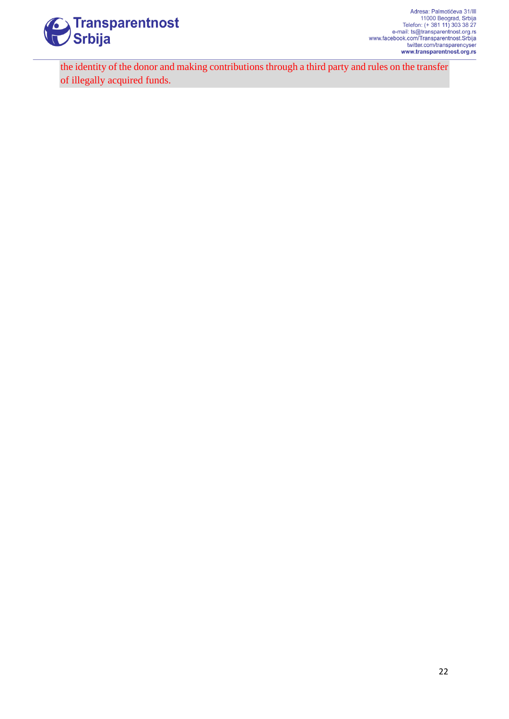

the identity of the donor and making contributions through a third party and rules on the transfer of illegally acquired funds.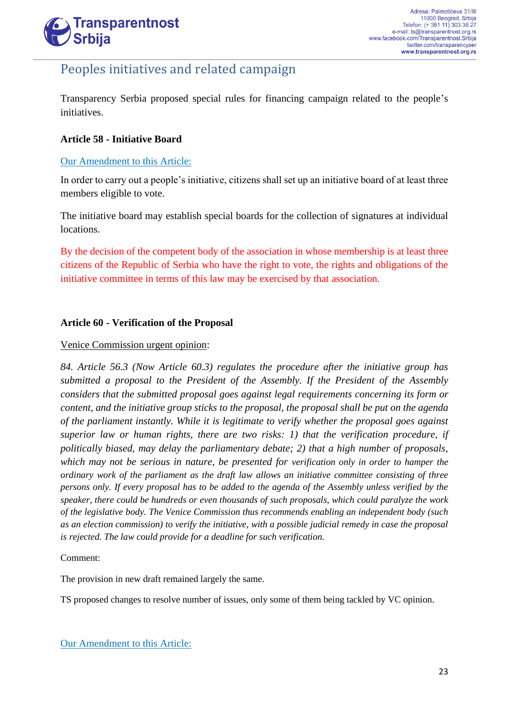

### Peoples initiatives and related campaign

Transparency Serbia proposed special rules for financing campaign related to the people's initiatives.

#### **Article 58 - Initiative Board**

#### Our Amendment to this Article:

In order to carry out a people's initiative, citizens shall set up an initiative board of at least three members eligible to vote.

The initiative board may establish special boards for the collection of signatures at individual locations.

By the decision of the competent body of the association in whose membership is at least three citizens of the Republic of Serbia who have the right to vote, the rights and obligations of the initiative committee in terms of this law may be exercised by that association.

#### **Article 60 - Verification of the Proposal**

#### Venice Commission urgent opinion:

*84. Article 56.3 (Now Article 60.3) regulates the procedure after the initiative group has submitted a proposal to the President of the Assembly. If the President of the Assembly considers that the submitted proposal goes against legal requirements concerning its form or content, and the initiative group sticks to the proposal, the proposal shall be put on the agenda of the parliament instantly. While it is legitimate to verify whether the proposal goes against superior law or human rights, there are two risks: 1) that the verification procedure, if politically biased, may delay the parliamentary debate; 2) that a high number of proposals, which may not be serious in nature, be presented for verification only in order to hamper the ordinary work of the parliament as the draft law allows an initiative committee consisting of three persons only. If every proposal has to be added to the agenda of the Assembly unless verified by the speaker, there could be hundreds or even thousands of such proposals, which could paralyze the work of the legislative body. The Venice Commission thus recommends enabling an independent body (such as an election commission) to verify the initiative, with a possible judicial remedy in case the proposal is rejected. The law could provide for a deadline for such verification.*

#### Comment:

The provision in new draft remained largely the same.

TS proposed changes to resolve number of issues, only some of them being tackled by VC opinion.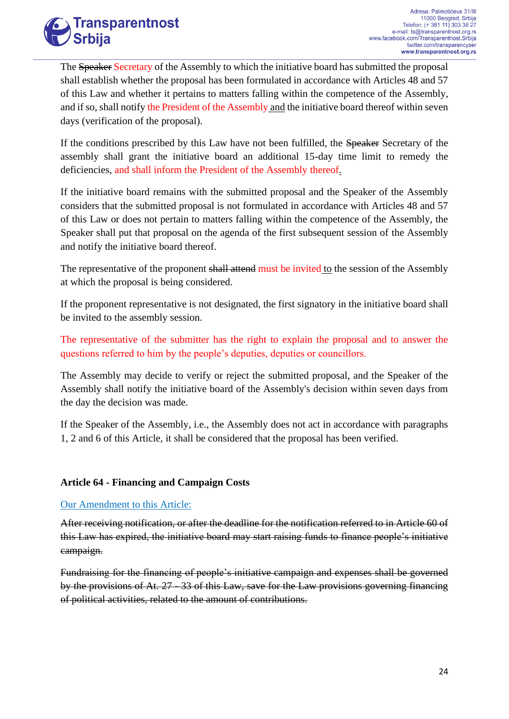

The Speaker Secretary of the Assembly to which the initiative board has submitted the proposal shall establish whether the proposal has been formulated in accordance with Articles 48 and 57 of this Law and whether it pertains to matters falling within the competence of the Assembly, and if so, shall notify the President of the Assembly and the initiative board thereof within seven days (verification of the proposal).

If the conditions prescribed by this Law have not been fulfilled, the Speaker Secretary of the assembly shall grant the initiative board an additional 15-day time limit to remedy the deficiencies, and shall inform the President of the Assembly thereof.

If the initiative board remains with the submitted proposal and the Speaker of the Assembly considers that the submitted proposal is not formulated in accordance with Articles 48 and 57 of this Law or does not pertain to matters falling within the competence of the Assembly, the Speaker shall put that proposal on the agenda of the first subsequent session of the Assembly and notify the initiative board thereof.

The representative of the proponent shall attend must be invited to the session of the Assembly at which the proposal is being considered.

If the proponent representative is not designated, the first signatory in the initiative board shall be invited to the assembly session.

The representative of the submitter has the right to explain the proposal and to answer the questions referred to him by the people's deputies, deputies or councillors.

The Assembly may decide to verify or reject the submitted proposal, and the Speaker of the Assembly shall notify the initiative board of the Assembly's decision within seven days from the day the decision was made.

If the Speaker of the Assembly, i.e., the Assembly does not act in accordance with paragraphs 1, 2 and 6 of this Article, it shall be considered that the proposal has been verified.

#### **Article 64 - Financing and Campaign Costs**

#### Our Amendment to this Article:

After receiving notification, or after the deadline for the notification referred to in Article 60 of this Law has expired, the initiative board may start raising funds to finance people's initiative campaign.

Fundraising for the financing of people's initiative campaign and expenses shall be governed by the provisions of At. 27 - 33 of this Law, save for the Law provisions governing financing of political activities, related to the amount of contributions.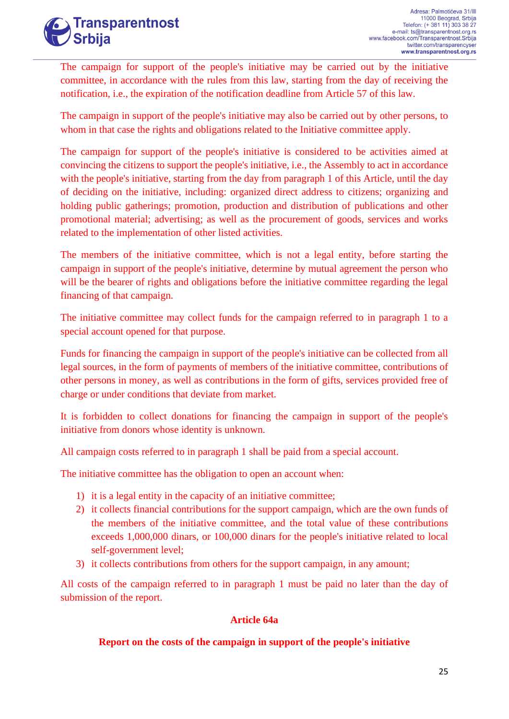

The campaign for support of the people's initiative may be carried out by the initiative committee, in accordance with the rules from this law, starting from the day of receiving the notification, i.e., the expiration of the notification deadline from Article 57 of this law.

The campaign in support of the people's initiative may also be carried out by other persons, to whom in that case the rights and obligations related to the Initiative committee apply.

The campaign for support of the people's initiative is considered to be activities aimed at convincing the citizens to support the people's initiative, i.e., the Assembly to act in accordance with the people's initiative, starting from the day from paragraph 1 of this Article, until the day of deciding on the initiative, including: organized direct address to citizens; organizing and holding public gatherings; promotion, production and distribution of publications and other promotional material; advertising; as well as the procurement of goods, services and works related to the implementation of other listed activities.

The members of the initiative committee, which is not a legal entity, before starting the campaign in support of the people's initiative, determine by mutual agreement the person who will be the bearer of rights and obligations before the initiative committee regarding the legal financing of that campaign.

The initiative committee may collect funds for the campaign referred to in paragraph 1 to a special account opened for that purpose.

Funds for financing the campaign in support of the people's initiative can be collected from all legal sources, in the form of payments of members of the initiative committee, contributions of other persons in money, as well as contributions in the form of gifts, services provided free of charge or under conditions that deviate from market.

It is forbidden to collect donations for financing the campaign in support of the people's initiative from donors whose identity is unknown.

All campaign costs referred to in paragraph 1 shall be paid from a special account.

The initiative committee has the obligation to open an account when:

- 1) it is a legal entity in the capacity of an initiative committee;
- 2) it collects financial contributions for the support campaign, which are the own funds of the members of the initiative committee, and the total value of these contributions exceeds 1,000,000 dinars, or 100,000 dinars for the people's initiative related to local self-government level;
- 3) it collects contributions from others for the support campaign, in any amount;

All costs of the campaign referred to in paragraph 1 must be paid no later than the day of submission of the report.

#### **Article 64a**

#### **Report on the costs of the campaign in support of the people's initiative**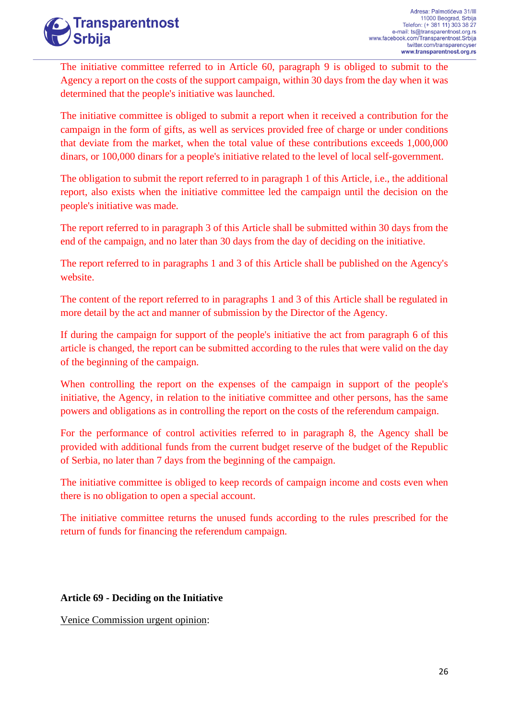

The initiative committee referred to in Article 60, paragraph 9 is obliged to submit to the Agency a report on the costs of the support campaign, within 30 days from the day when it was determined that the people's initiative was launched.

The initiative committee is obliged to submit a report when it received a contribution for the campaign in the form of gifts, as well as services provided free of charge or under conditions that deviate from the market, when the total value of these contributions exceeds 1,000,000 dinars, or 100,000 dinars for a people's initiative related to the level of local self-government.

The obligation to submit the report referred to in paragraph 1 of this Article, i.e., the additional report, also exists when the initiative committee led the campaign until the decision on the people's initiative was made.

The report referred to in paragraph 3 of this Article shall be submitted within 30 days from the end of the campaign, and no later than 30 days from the day of deciding on the initiative.

The report referred to in paragraphs 1 and 3 of this Article shall be published on the Agency's website.

The content of the report referred to in paragraphs 1 and 3 of this Article shall be regulated in more detail by the act and manner of submission by the Director of the Agency.

If during the campaign for support of the people's initiative the act from paragraph 6 of this article is changed, the report can be submitted according to the rules that were valid on the day of the beginning of the campaign.

When controlling the report on the expenses of the campaign in support of the people's initiative, the Agency, in relation to the initiative committee and other persons, has the same powers and obligations as in controlling the report on the costs of the referendum campaign.

For the performance of control activities referred to in paragraph 8, the Agency shall be provided with additional funds from the current budget reserve of the budget of the Republic of Serbia, no later than 7 days from the beginning of the campaign.

The initiative committee is obliged to keep records of campaign income and costs even when there is no obligation to open a special account.

The initiative committee returns the unused funds according to the rules prescribed for the return of funds for financing the referendum campaign.

#### **Article 69 - Deciding on the Initiative**

Venice Commission urgent opinion: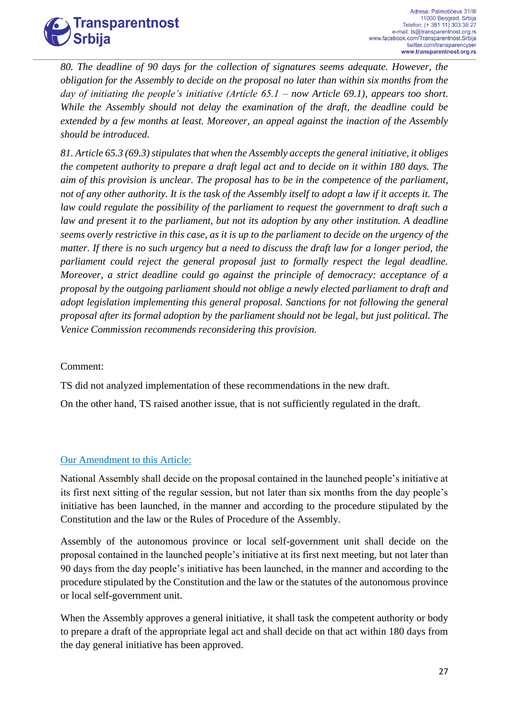

*80. The deadline of 90 days for the collection of signatures seems adequate. However, the obligation for the Assembly to decide on the proposal no later than within six months from the day of initiating the people's initiative (Article 65.1 – now Article 69.1), appears too short. While the Assembly should not delay the examination of the draft, the deadline could be extended by a few months at least. Moreover, an appeal against the inaction of the Assembly should be introduced.* 

*81. Article 65.3 (69.3) stipulates that when the Assembly accepts the general initiative, it obliges the competent authority to prepare a draft legal act and to decide on it within 180 days. The aim of this provision is unclear. The proposal has to be in the competence of the parliament, not of any other authority. It is the task of the Assembly itself to adopt a law if it accepts it. The law could regulate the possibility of the parliament to request the government to draft such a law and present it to the parliament, but not its adoption by any other institution. A deadline seems overly restrictive in this case, as it is up to the parliament to decide on the urgency of the matter. If there is no such urgency but a need to discuss the draft law for a longer period, the parliament could reject the general proposal just to formally respect the legal deadline. Moreover, a strict deadline could go against the principle of democracy: acceptance of a proposal by the outgoing parliament should not oblige a newly elected parliament to draft and adopt legislation implementing this general proposal. Sanctions for not following the general proposal after its formal adoption by the parliament should not be legal, but just political. The Venice Commission recommends reconsidering this provision.*

#### Comment:

TS did not analyzed implementation of these recommendations in the new draft.

On the other hand, TS raised another issue, that is not sufficiently regulated in the draft.

#### Our Amendment to this Article:

National Assembly shall decide on the proposal contained in the launched people's initiative at its first next sitting of the regular session, but not later than six months from the day people's initiative has been launched, in the manner and according to the procedure stipulated by the Constitution and the law or the Rules of Procedure of the Assembly.

Assembly of the autonomous province or local self-government unit shall decide on the proposal contained in the launched people's initiative at its first next meeting, but not later than 90 days from the day people's initiative has been launched, in the manner and according to the procedure stipulated by the Constitution and the law or the statutes of the autonomous province or local self-government unit.

When the Assembly approves a general initiative, it shall task the competent authority or body to prepare a draft of the appropriate legal act and shall decide on that act within 180 days from the day general initiative has been approved.